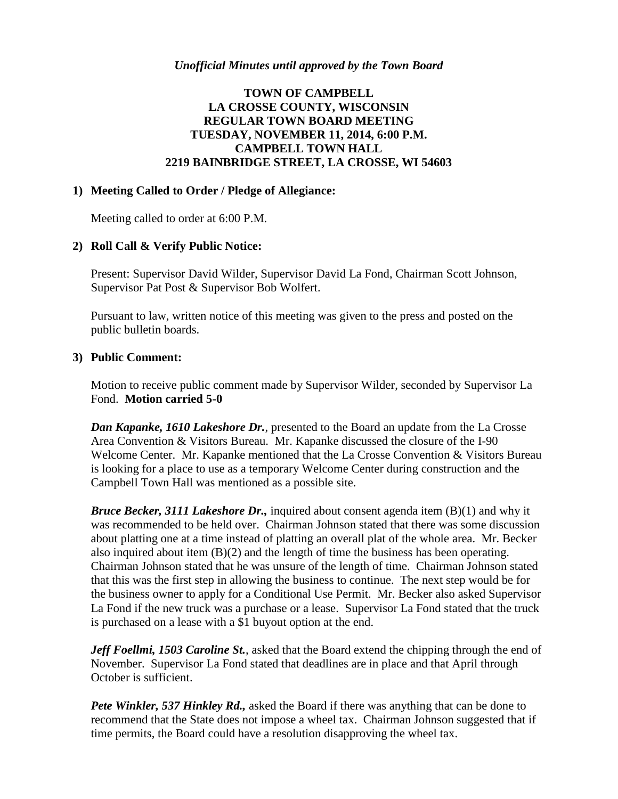## *Unofficial Minutes until approved by the Town Board*

# **TOWN OF CAMPBELL LA CROSSE COUNTY, WISCONSIN REGULAR TOWN BOARD MEETING TUESDAY, NOVEMBER 11, 2014, 6:00 P.M. CAMPBELL TOWN HALL 2219 BAINBRIDGE STREET, LA CROSSE, WI 54603**

#### **1) Meeting Called to Order / Pledge of Allegiance:**

Meeting called to order at 6:00 P.M.

## **2) Roll Call & Verify Public Notice:**

Present: Supervisor David Wilder, Supervisor David La Fond, Chairman Scott Johnson, Supervisor Pat Post & Supervisor Bob Wolfert.

Pursuant to law, written notice of this meeting was given to the press and posted on the public bulletin boards.

#### **3) Public Comment:**

Motion to receive public comment made by Supervisor Wilder, seconded by Supervisor La Fond. **Motion carried 5-0**

*Dan Kapanke, 1610 Lakeshore Dr.*, presented to the Board an update from the La Crosse Area Convention & Visitors Bureau. Mr. Kapanke discussed the closure of the I-90 Welcome Center. Mr. Kapanke mentioned that the La Crosse Convention & Visitors Bureau is looking for a place to use as a temporary Welcome Center during construction and the Campbell Town Hall was mentioned as a possible site.

*Bruce Becker, 3111 Lakeshore Dr.,* inquired about consent agenda item (B)(1) and why it was recommended to be held over. Chairman Johnson stated that there was some discussion about platting one at a time instead of platting an overall plat of the whole area. Mr. Becker also inquired about item (B)(2) and the length of time the business has been operating. Chairman Johnson stated that he was unsure of the length of time. Chairman Johnson stated that this was the first step in allowing the business to continue. The next step would be for the business owner to apply for a Conditional Use Permit. Mr. Becker also asked Supervisor La Fond if the new truck was a purchase or a lease. Supervisor La Fond stated that the truck is purchased on a lease with a \$1 buyout option at the end.

*Jeff Foellmi, 1503 Caroline St.*, asked that the Board extend the chipping through the end of November. Supervisor La Fond stated that deadlines are in place and that April through October is sufficient.

*Pete Winkler, 537 Hinkley Rd.,* asked the Board if there was anything that can be done to recommend that the State does not impose a wheel tax. Chairman Johnson suggested that if time permits, the Board could have a resolution disapproving the wheel tax.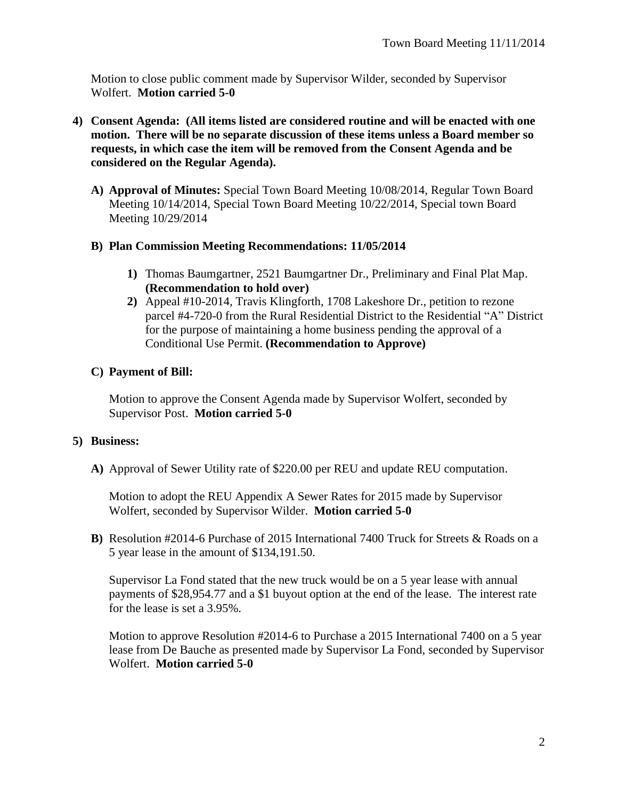Motion to close public comment made by Supervisor Wilder, seconded by Supervisor Wolfert. **Motion carried 5-0**

- **4) Consent Agenda: (All items listed are considered routine and will be enacted with one motion. There will be no separate discussion of these items unless a Board member so requests, in which case the item will be removed from the Consent Agenda and be considered on the Regular Agenda).**
	- **A) Approval of Minutes:** Special Town Board Meeting 10/08/2014, Regular Town Board Meeting 10/14/2014, Special Town Board Meeting 10/22/2014, Special town Board Meeting 10/29/2014
	- **B) Plan Commission Meeting Recommendations: 11/05/2014**
		- **1)** Thomas Baumgartner, 2521 Baumgartner Dr., Preliminary and Final Plat Map. **(Recommendation to hold over)**
		- **2)** Appeal #10-2014, Travis Klingforth, 1708 Lakeshore Dr., petition to rezone parcel #4-720-0 from the Rural Residential District to the Residential "A" District for the purpose of maintaining a home business pending the approval of a Conditional Use Permit. **(Recommendation to Approve)**

# **C) Payment of Bill:**

Motion to approve the Consent Agenda made by Supervisor Wolfert, seconded by Supervisor Post. **Motion carried 5-0**

# **5) Business:**

**A)** Approval of Sewer Utility rate of \$220.00 per REU and update REU computation.

Motion to adopt the REU Appendix A Sewer Rates for 2015 made by Supervisor Wolfert, seconded by Supervisor Wilder. **Motion carried 5-0**

**B)** Resolution #2014-6 Purchase of 2015 International 7400 Truck for Streets & Roads on a 5 year lease in the amount of \$134,191.50.

Supervisor La Fond stated that the new truck would be on a 5 year lease with annual payments of \$28,954.77 and a \$1 buyout option at the end of the lease. The interest rate for the lease is set a 3.95%.

Motion to approve Resolution #2014-6 to Purchase a 2015 International 7400 on a 5 year lease from De Bauche as presented made by Supervisor La Fond, seconded by Supervisor Wolfert. **Motion carried 5-0**